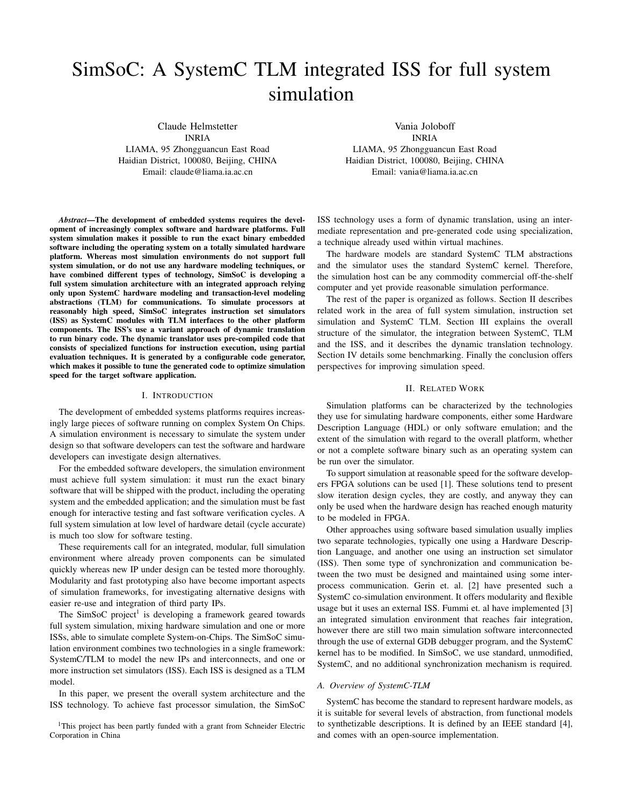# SimSoC: A SystemC TLM integrated ISS for full system simulation

Claude Helmstetter INRIA LIAMA, 95 Zhongguancun East Road

Haidian District, 100080, Beijing, CHINA Email: claude@liama.ia.ac.cn

*Abstract*—The development of embedded systems requires the development of increasingly complex software and hardware platforms. Full system simulation makes it possible to run the exact binary embedded software including the operating system on a totally simulated hardware platform. Whereas most simulation environments do not support full system simulation, or do not use any hardware modeling techniques, or have combined different types of technology, SimSoC is developing a full system simulation architecture with an integrated approach relying only upon SystemC hardware modeling and transaction-level modeling abstractions (TLM) for communications. To simulate processors at reasonably high speed, SimSoC integrates instruction set simulators (ISS) as SystemC modules with TLM interfaces to the other platform components. The ISS's use a variant approach of dynamic translation to run binary code. The dynamic translator uses pre-compiled code that consists of specialized functions for instruction execution, using partial evaluation techniques. It is generated by a configurable code generator, which makes it possible to tune the generated code to optimize simulation speed for the target software application.

#### I. INTRODUCTION

The development of embedded systems platforms requires increasingly large pieces of software running on complex System On Chips. A simulation environment is necessary to simulate the system under design so that software developers can test the software and hardware developers can investigate design alternatives.

For the embedded software developers, the simulation environment must achieve full system simulation: it must run the exact binary software that will be shipped with the product, including the operating system and the embedded application; and the simulation must be fast enough for interactive testing and fast software verification cycles. A full system simulation at low level of hardware detail (cycle accurate) is much too slow for software testing.

These requirements call for an integrated, modular, full simulation environment where already proven components can be simulated quickly whereas new IP under design can be tested more thoroughly. Modularity and fast prototyping also have become important aspects of simulation frameworks, for investigating alternative designs with easier re-use and integration of third party IPs.

The SimSoC project<sup>1</sup> is developing a framework geared towards full system simulation, mixing hardware simulation and one or more ISSs, able to simulate complete System-on-Chips. The SimSoC simulation environment combines two technologies in a single framework: SystemC/TLM to model the new IPs and interconnects, and one or more instruction set simulators (ISS). Each ISS is designed as a TLM model.

In this paper, we present the overall system architecture and the ISS technology. To achieve fast processor simulation, the SimSoC

Vania Joloboff INRIA LIAMA, 95 Zhongguancun East Road Haidian District, 100080, Beijing, CHINA Email: vania@liama.ia.ac.cn

ISS technology uses a form of dynamic translation, using an intermediate representation and pre-generated code using specialization, a technique already used within virtual machines.

The hardware models are standard SystemC TLM abstractions and the simulator uses the standard SystemC kernel. Therefore, the simulation host can be any commodity commercial off-the-shelf computer and yet provide reasonable simulation performance.

The rest of the paper is organized as follows. Section II describes related work in the area of full system simulation, instruction set simulation and SystemC TLM. Section III explains the overall structure of the simulator, the integration between SystemC, TLM and the ISS, and it describes the dynamic translation technology. Section IV details some benchmarking. Finally the conclusion offers perspectives for improving simulation speed.

#### II. RELATED WORK

Simulation platforms can be characterized by the technologies they use for simulating hardware components, either some Hardware Description Language (HDL) or only software emulation; and the extent of the simulation with regard to the overall platform, whether or not a complete software binary such as an operating system can be run over the simulator.

To support simulation at reasonable speed for the software developers FPGA solutions can be used [1]. These solutions tend to present slow iteration design cycles, they are costly, and anyway they can only be used when the hardware design has reached enough maturity to be modeled in FPGA.

Other approaches using software based simulation usually implies two separate technologies, typically one using a Hardware Description Language, and another one using an instruction set simulator (ISS). Then some type of synchronization and communication between the two must be designed and maintained using some interprocess communication. Gerin et. al. [2] have presented such a SystemC co-simulation environment. It offers modularity and flexible usage but it uses an external ISS. Fummi et. al have implemented [3] an integrated simulation environment that reaches fair integration, however there are still two main simulation software interconnected through the use of external GDB debugger program, and the SystemC kernel has to be modified. In SimSoC, we use standard, unmodified, SystemC, and no additional synchronization mechanism is required.

## *A. Overview of SystemC-TLM*

SystemC has become the standard to represent hardware models, as it is suitable for several levels of abstraction, from functional models to synthetizable descriptions. It is defined by an IEEE standard [4], and comes with an open-source implementation.

<sup>&</sup>lt;sup>1</sup>This project has been partly funded with a grant from Schneider Electric Corporation in China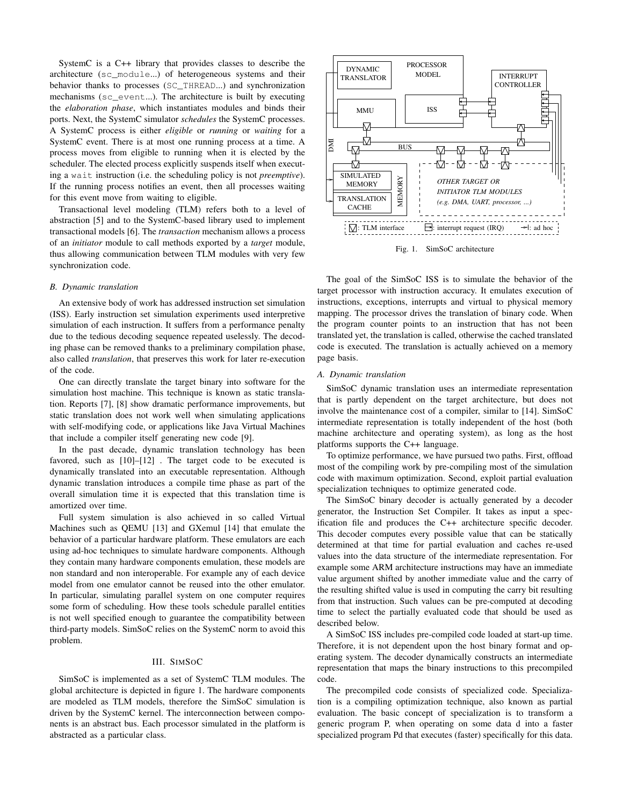SystemC is a C++ library that provides classes to describe the architecture (sc\_module...) of heterogeneous systems and their behavior thanks to processes (SC\_THREAD...) and synchronization mechanisms (sc\_event...). The architecture is built by executing the *elaboration phase*, which instantiates modules and binds their ports. Next, the SystemC simulator *schedules* the SystemC processes. A SystemC process is either *eligible* or *running* or *waiting* for a SystemC event. There is at most one running process at a time. A process moves from eligible to running when it is elected by the scheduler. The elected process explicitly suspends itself when executing a wait instruction (i.e. the scheduling policy is not *preemptive*). If the running process notifies an event, then all processes waiting for this event move from waiting to eligible.

Transactional level modeling (TLM) refers both to a level of abstraction [5] and to the SystemC-based library used to implement transactional models [6]. The *transaction* mechanism allows a process of an *initiator* module to call methods exported by a *target* module, thus allowing communication between TLM modules with very few synchronization code.

#### *B. Dynamic translation*

An extensive body of work has addressed instruction set simulation (ISS). Early instruction set simulation experiments used interpretive simulation of each instruction. It suffers from a performance penalty due to the tedious decoding sequence repeated uselessly. The decoding phase can be removed thanks to a preliminary compilation phase, also called *translation*, that preserves this work for later re-execution of the code.

One can directly translate the target binary into software for the simulation host machine. This technique is known as static translation. Reports [7], [8] show dramatic performance improvements, but static translation does not work well when simulating applications with self-modifying code, or applications like Java Virtual Machines that include a compiler itself generating new code [9].

In the past decade, dynamic translation technology has been favored, such as [10]–[12] . The target code to be executed is dynamically translated into an executable representation. Although dynamic translation introduces a compile time phase as part of the overall simulation time it is expected that this translation time is amortized over time.

Full system simulation is also achieved in so called Virtual Machines such as QEMU [13] and GXemul [14] that emulate the behavior of a particular hardware platform. These emulators are each using ad-hoc techniques to simulate hardware components. Although they contain many hardware components emulation, these models are non standard and non interoperable. For example any of each device model from one emulator cannot be reused into the other emulator. In particular, simulating parallel system on one computer requires some form of scheduling. How these tools schedule parallel entities is not well specified enough to guarantee the compatibility between third-party models. SimSoC relies on the SystemC norm to avoid this problem.

## III. SIMSOC

SimSoC is implemented as a set of SystemC TLM modules. The global architecture is depicted in figure 1. The hardware components are modeled as TLM models, therefore the SimSoC simulation is driven by the SystemC kernel. The interconnection between components is an abstract bus. Each processor simulated in the platform is abstracted as a particular class.



Fig. 1. SimSoC architecture

The goal of the SimSoC ISS is to simulate the behavior of the target processor with instruction accuracy. It emulates execution of instructions, exceptions, interrupts and virtual to physical memory mapping. The processor drives the translation of binary code. When the program counter points to an instruction that has not been translated yet, the translation is called, otherwise the cached translated code is executed. The translation is actually achieved on a memory page basis.

## *A. Dynamic translation*

SimSoC dynamic translation uses an intermediate representation that is partly dependent on the target architecture, but does not involve the maintenance cost of a compiler, similar to [14]. SimSoC intermediate representation is totally independent of the host (both machine architecture and operating system), as long as the host platforms supports the C++ language.

To optimize performance, we have pursued two paths. First, offload most of the compiling work by pre-compiling most of the simulation code with maximum optimization. Second, exploit partial evaluation specialization techniques to optimize generated code.

The SimSoC binary decoder is actually generated by a decoder generator, the Instruction Set Compiler. It takes as input a specification file and produces the C++ architecture specific decoder. This decoder computes every possible value that can be statically determined at that time for partial evaluation and caches re-used values into the data structure of the intermediate representation. For example some ARM architecture instructions may have an immediate value argument shifted by another immediate value and the carry of the resulting shifted value is used in computing the carry bit resulting from that instruction. Such values can be pre-computed at decoding time to select the partially evaluated code that should be used as described below.

A SimSoC ISS includes pre-compiled code loaded at start-up time. Therefore, it is not dependent upon the host binary format and operating system. The decoder dynamically constructs an intermediate representation that maps the binary instructions to this precompiled code.

The precompiled code consists of specialized code. Specialization is a compiling optimization technique, also known as partial evaluation. The basic concept of specialization is to transform a generic program P, when operating on some data d into a faster specialized program Pd that executes (faster) specifically for this data.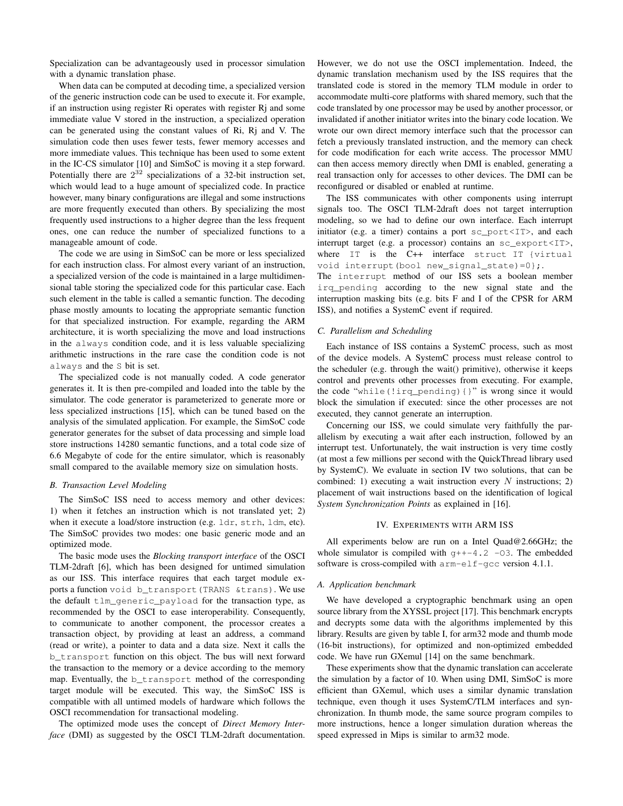Specialization can be advantageously used in processor simulation with a dynamic translation phase.

When data can be computed at decoding time, a specialized version of the generic instruction code can be used to execute it. For example, if an instruction using register Ri operates with register Rj and some immediate value V stored in the instruction, a specialized operation can be generated using the constant values of Ri, Rj and V. The simulation code then uses fewer tests, fewer memory accesses and more immediate values. This technique has been used to some extent in the IC-CS simulator [10] and SimSoC is moving it a step forward. Potentially there are  $2^{32}$  specializations of a 32-bit instruction set, which would lead to a huge amount of specialized code. In practice however, many binary configurations are illegal and some instructions are more frequently executed than others. By specializing the most frequently used instructions to a higher degree than the less frequent ones, one can reduce the number of specialized functions to a manageable amount of code.

The code we are using in SimSoC can be more or less specialized for each instruction class. For almost every variant of an instruction, a specialized version of the code is maintained in a large multidimensional table storing the specialized code for this particular case. Each such element in the table is called a semantic function. The decoding phase mostly amounts to locating the appropriate semantic function for that specialized instruction. For example, regarding the ARM architecture, it is worth specializing the move and load instructions in the always condition code, and it is less valuable specializing arithmetic instructions in the rare case the condition code is not always and the S bit is set.

The specialized code is not manually coded. A code generator generates it. It is then pre-compiled and loaded into the table by the simulator. The code generator is parameterized to generate more or less specialized instructions [15], which can be tuned based on the analysis of the simulated application. For example, the SimSoC code generator generates for the subset of data processing and simple load store instructions 14280 semantic functions, and a total code size of 6.6 Megabyte of code for the entire simulator, which is reasonably small compared to the available memory size on simulation hosts.

## *B. Transaction Level Modeling*

The SimSoC ISS need to access memory and other devices: 1) when it fetches an instruction which is not translated yet; 2) when it execute a load/store instruction (e.g. ldr, strh, ldm, etc). The SimSoC provides two modes: one basic generic mode and an optimized mode.

The basic mode uses the *Blocking transport interface* of the OSCI TLM-2draft [6], which has been designed for untimed simulation as our ISS. This interface requires that each target module exports a function void b\_transport (TRANS &trans). We use the default tlm\_generic\_payload for the transaction type, as recommended by the OSCI to ease interoperability. Consequently, to communicate to another component, the processor creates a transaction object, by providing at least an address, a command (read or write), a pointer to data and a data size. Next it calls the b\_transport function on this object. The bus will next forward the transaction to the memory or a device according to the memory map. Eventually, the b\_transport method of the corresponding target module will be executed. This way, the SimSoC ISS is compatible with all untimed models of hardware which follows the OSCI recommendation for transactional modeling.

The optimized mode uses the concept of *Direct Memory Interface* (DMI) as suggested by the OSCI TLM-2draft documentation. However, we do not use the OSCI implementation. Indeed, the dynamic translation mechanism used by the ISS requires that the translated code is stored in the memory TLM module in order to accommodate multi-core platforms with shared memory, such that the code translated by one processor may be used by another processor, or invalidated if another initiator writes into the binary code location. We wrote our own direct memory interface such that the processor can fetch a previously translated instruction, and the memory can check for code modification for each write access. The processor MMU can then access memory directly when DMI is enabled, generating a real transaction only for accesses to other devices. The DMI can be reconfigured or disabled or enabled at runtime.

The ISS communicates with other components using interrupt signals too. The OSCI TLM-2draft does not target interruption modeling, so we had to define our own interface. Each interrupt initiator (e.g. a timer) contains a port sc\_port<IT>, and each interrupt target (e.g. a processor) contains an sc\_export<IT>, where IT is the C++ interface struct IT {virtual void interrupt(bool new\_signal\_state)=0};.

The interrupt method of our ISS sets a boolean member irq\_pending according to the new signal state and the interruption masking bits (e.g. bits F and I of the CPSR for ARM ISS), and notifies a SystemC event if required.

## *C. Parallelism and Scheduling*

Each instance of ISS contains a SystemC process, such as most of the device models. A SystemC process must release control to the scheduler (e.g. through the wait() primitive), otherwise it keeps control and prevents other processes from executing. For example, the code "while(!irq\_pending){}" is wrong since it would block the simulation if executed: since the other processes are not executed, they cannot generate an interruption.

Concerning our ISS, we could simulate very faithfully the parallelism by executing a wait after each instruction, followed by an interrupt test. Unfortunately, the wait instruction is very time costly (at most a few millions per second with the QuickThread library used by SystemC). We evaluate in section IV two solutions, that can be combined: 1) executing a wait instruction every  $N$  instructions; 2) placement of wait instructions based on the identification of logical *System Synchronization Points* as explained in [16].

## IV. EXPERIMENTS WITH ARM ISS

All experiments below are run on a Intel Quad@2.66GHz; the whole simulator is compiled with  $g++-4.2$  -03. The embedded software is cross-compiled with arm-elf-gcc version 4.1.1.

#### *A. Application benchmark*

We have developed a cryptographic benchmark using an open source library from the XYSSL project [17]. This benchmark encrypts and decrypts some data with the algorithms implemented by this library. Results are given by table I, for arm32 mode and thumb mode (16-bit instructions), for optimized and non-optimized embedded code. We have run GXemul [14] on the same benchmark.

These experiments show that the dynamic translation can accelerate the simulation by a factor of 10. When using DMI, SimSoC is more efficient than GXemul, which uses a similar dynamic translation technique, even though it uses SystemC/TLM interfaces and synchronization. In thumb mode, the same source program compiles to more instructions, hence a longer simulation duration whereas the speed expressed in Mips is similar to arm32 mode.